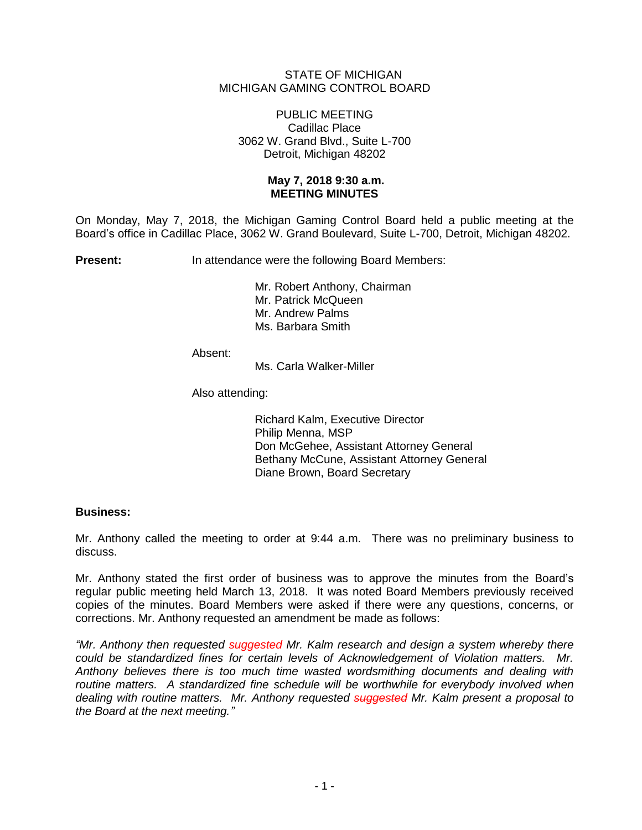## STATE OF MICHIGAN MICHIGAN GAMING CONTROL BOARD

## PUBLIC MEETING Cadillac Place 3062 W. Grand Blvd., Suite L-700 Detroit, Michigan 48202

## **May 7, 2018 9:30 a.m. MEETING MINUTES**

On Monday, May 7, 2018, the Michigan Gaming Control Board held a public meeting at the Board's office in Cadillac Place, 3062 W. Grand Boulevard, Suite L-700, Detroit, Michigan 48202.

**Present:** In attendance were the following Board Members:

Mr. Robert Anthony, Chairman Mr. Patrick McQueen Mr. Andrew Palms Ms. Barbara Smith

Absent:

Ms. Carla Walker-Miller

Also attending:

Richard Kalm, Executive Director Philip Menna, MSP Don McGehee, Assistant Attorney General Bethany McCune, Assistant Attorney General Diane Brown, Board Secretary

## **Business:**

Mr. Anthony called the meeting to order at 9:44 a.m. There was no preliminary business to discuss.

Mr. Anthony stated the first order of business was to approve the minutes from the Board's regular public meeting held March 13, 2018. It was noted Board Members previously received copies of the minutes. Board Members were asked if there were any questions, concerns, or corrections. Mr. Anthony requested an amendment be made as follows:

*"Mr. Anthony then requested suggested Mr. Kalm research and design a system whereby there could be standardized fines for certain levels of Acknowledgement of Violation matters. Mr. Anthony believes there is too much time wasted wordsmithing documents and dealing with*  routine matters. A standardized fine schedule will be worthwhile for everybody involved when *dealing with routine matters. Mr. Anthony requested suggested Mr. Kalm present a proposal to the Board at the next meeting."*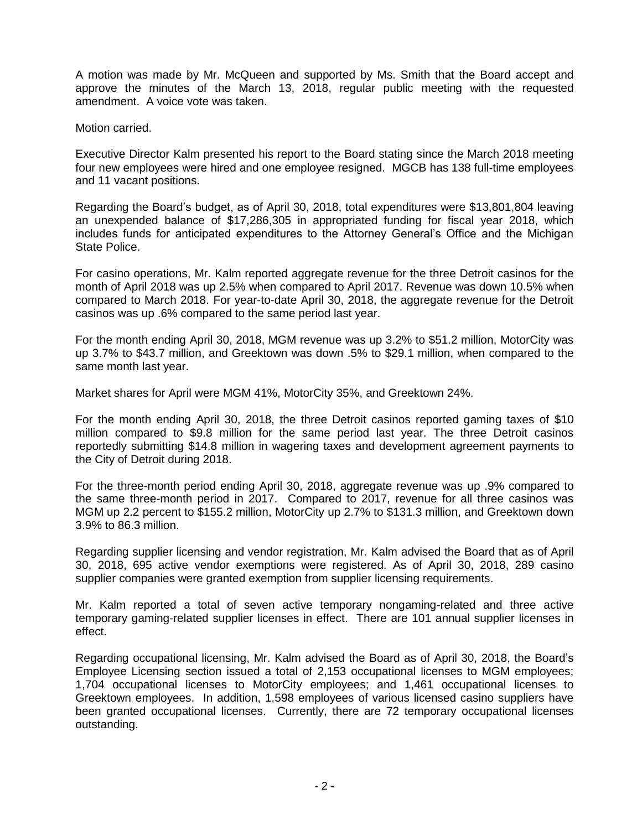A motion was made by Mr. McQueen and supported by Ms. Smith that the Board accept and approve the minutes of the March 13, 2018, regular public meeting with the requested amendment. A voice vote was taken.

Motion carried.

Executive Director Kalm presented his report to the Board stating since the March 2018 meeting four new employees were hired and one employee resigned. MGCB has 138 full-time employees and 11 vacant positions.

Regarding the Board's budget, as of April 30, 2018, total expenditures were \$13,801,804 leaving an unexpended balance of \$17,286,305 in appropriated funding for fiscal year 2018, which includes funds for anticipated expenditures to the Attorney General's Office and the Michigan State Police.

For casino operations, Mr. Kalm reported aggregate revenue for the three Detroit casinos for the month of April 2018 was up 2.5% when compared to April 2017. Revenue was down 10.5% when compared to March 2018. For year-to-date April 30, 2018, the aggregate revenue for the Detroit casinos was up .6% compared to the same period last year.

For the month ending April 30, 2018, MGM revenue was up 3.2% to \$51.2 million, MotorCity was up 3.7% to \$43.7 million, and Greektown was down .5% to \$29.1 million, when compared to the same month last year.

Market shares for April were MGM 41%, MotorCity 35%, and Greektown 24%.

For the month ending April 30, 2018, the three Detroit casinos reported gaming taxes of \$10 million compared to \$9.8 million for the same period last year. The three Detroit casinos reportedly submitting \$14.8 million in wagering taxes and development agreement payments to the City of Detroit during 2018.

For the three-month period ending April 30, 2018, aggregate revenue was up .9% compared to the same three-month period in 2017. Compared to 2017, revenue for all three casinos was MGM up 2.2 percent to \$155.2 million, MotorCity up 2.7% to \$131.3 million, and Greektown down 3.9% to 86.3 million.

Regarding supplier licensing and vendor registration, Mr. Kalm advised the Board that as of April 30, 2018, 695 active vendor exemptions were registered. As of April 30, 2018, 289 casino supplier companies were granted exemption from supplier licensing requirements.

Mr. Kalm reported a total of seven active temporary nongaming-related and three active temporary gaming-related supplier licenses in effect. There are 101 annual supplier licenses in effect.

Regarding occupational licensing, Mr. Kalm advised the Board as of April 30, 2018, the Board's Employee Licensing section issued a total of 2,153 occupational licenses to MGM employees; 1,704 occupational licenses to MotorCity employees; and 1,461 occupational licenses to Greektown employees. In addition, 1,598 employees of various licensed casino suppliers have been granted occupational licenses. Currently, there are 72 temporary occupational licenses outstanding.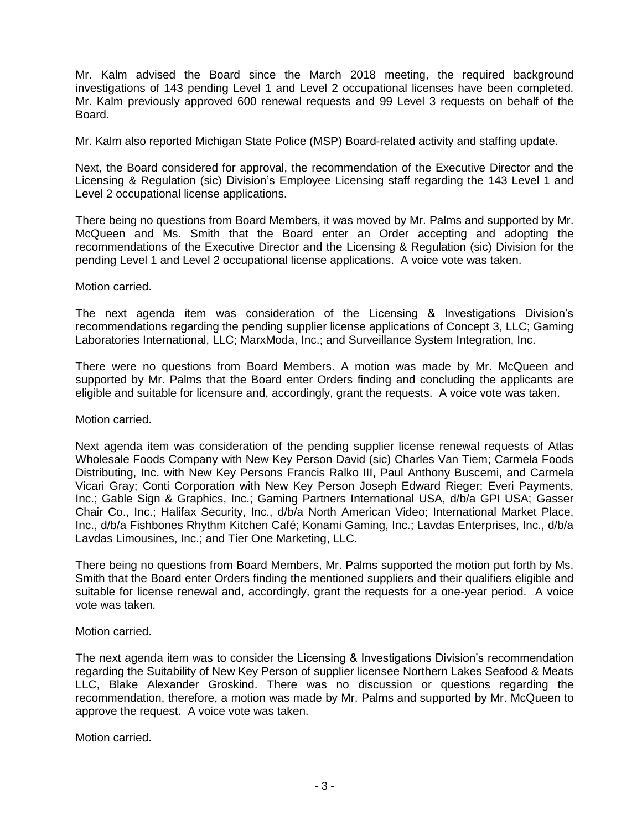Mr. Kalm advised the Board since the March 2018 meeting, the required background investigations of 143 pending Level 1 and Level 2 occupational licenses have been completed. Mr. Kalm previously approved 600 renewal requests and 99 Level 3 requests on behalf of the Board.

Mr. Kalm also reported Michigan State Police (MSP) Board-related activity and staffing update.

Next, the Board considered for approval, the recommendation of the Executive Director and the Licensing & Regulation (sic) Division's Employee Licensing staff regarding the 143 Level 1 and Level 2 occupational license applications.

There being no questions from Board Members, it was moved by Mr. Palms and supported by Mr. McQueen and Ms. Smith that the Board enter an Order accepting and adopting the recommendations of the Executive Director and the Licensing & Regulation (sic) Division for the pending Level 1 and Level 2 occupational license applications. A voice vote was taken.

Motion carried.

The next agenda item was consideration of the Licensing & Investigations Division's recommendations regarding the pending supplier license applications of Concept 3, LLC; Gaming Laboratories International, LLC; MarxModa, Inc.; and Surveillance System Integration, Inc.

There were no questions from Board Members. A motion was made by Mr. McQueen and supported by Mr. Palms that the Board enter Orders finding and concluding the applicants are eligible and suitable for licensure and, accordingly, grant the requests. A voice vote was taken.

Motion carried.

Next agenda item was consideration of the pending supplier license renewal requests of Atlas Wholesale Foods Company with New Key Person David (sic) Charles Van Tiem; Carmela Foods Distributing, Inc. with New Key Persons Francis Ralko III, Paul Anthony Buscemi, and Carmela Vicari Gray; Conti Corporation with New Key Person Joseph Edward Rieger; Everi Payments, Inc.; Gable Sign & Graphics, Inc.; Gaming Partners International USA, d/b/a GPI USA; Gasser Chair Co., Inc.; Halifax Security, Inc., d/b/a North American Video; International Market Place, Inc., d/b/a Fishbones Rhythm Kitchen Café; Konami Gaming, Inc.; Lavdas Enterprises, Inc., d/b/a Lavdas Limousines, Inc.; and Tier One Marketing, LLC.

There being no questions from Board Members, Mr. Palms supported the motion put forth by Ms. Smith that the Board enter Orders finding the mentioned suppliers and their qualifiers eligible and suitable for license renewal and, accordingly, grant the requests for a one-year period. A voice vote was taken.

Motion carried.

The next agenda item was to consider the Licensing & Investigations Division's recommendation regarding the Suitability of New Key Person of supplier licensee Northern Lakes Seafood & Meats LLC, Blake Alexander Groskind. There was no discussion or questions regarding the recommendation, therefore, a motion was made by Mr. Palms and supported by Mr. McQueen to approve the request. A voice vote was taken.

Motion carried.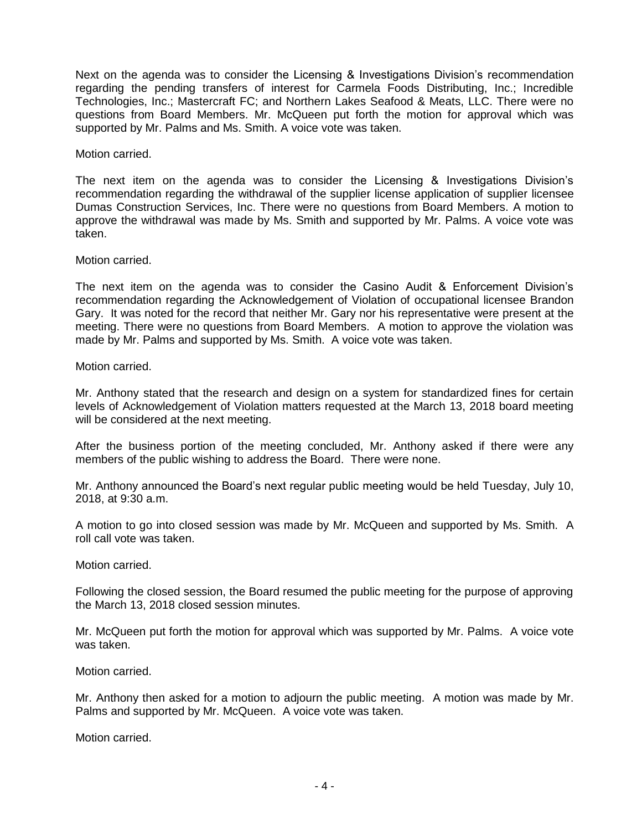Next on the agenda was to consider the Licensing & Investigations Division's recommendation regarding the pending transfers of interest for Carmela Foods Distributing, Inc.; Incredible Technologies, Inc.; Mastercraft FC; and Northern Lakes Seafood & Meats, LLC. There were no questions from Board Members. Mr. McQueen put forth the motion for approval which was supported by Mr. Palms and Ms. Smith. A voice vote was taken.

Motion carried.

The next item on the agenda was to consider the Licensing & Investigations Division's recommendation regarding the withdrawal of the supplier license application of supplier licensee Dumas Construction Services, Inc. There were no questions from Board Members. A motion to approve the withdrawal was made by Ms. Smith and supported by Mr. Palms. A voice vote was taken.

Motion carried.

The next item on the agenda was to consider the Casino Audit & Enforcement Division's recommendation regarding the Acknowledgement of Violation of occupational licensee Brandon Gary. It was noted for the record that neither Mr. Gary nor his representative were present at the meeting. There were no questions from Board Members. A motion to approve the violation was made by Mr. Palms and supported by Ms. Smith. A voice vote was taken.

Motion carried.

Mr. Anthony stated that the research and design on a system for standardized fines for certain levels of Acknowledgement of Violation matters requested at the March 13, 2018 board meeting will be considered at the next meeting.

After the business portion of the meeting concluded, Mr. Anthony asked if there were any members of the public wishing to address the Board. There were none.

Mr. Anthony announced the Board's next regular public meeting would be held Tuesday, July 10, 2018, at 9:30 a.m.

A motion to go into closed session was made by Mr. McQueen and supported by Ms. Smith. A roll call vote was taken.

Motion carried.

Following the closed session, the Board resumed the public meeting for the purpose of approving the March 13, 2018 closed session minutes.

Mr. McQueen put forth the motion for approval which was supported by Mr. Palms. A voice vote was taken.

Motion carried.

Mr. Anthony then asked for a motion to adjourn the public meeting. A motion was made by Mr. Palms and supported by Mr. McQueen. A voice vote was taken.

Motion carried.